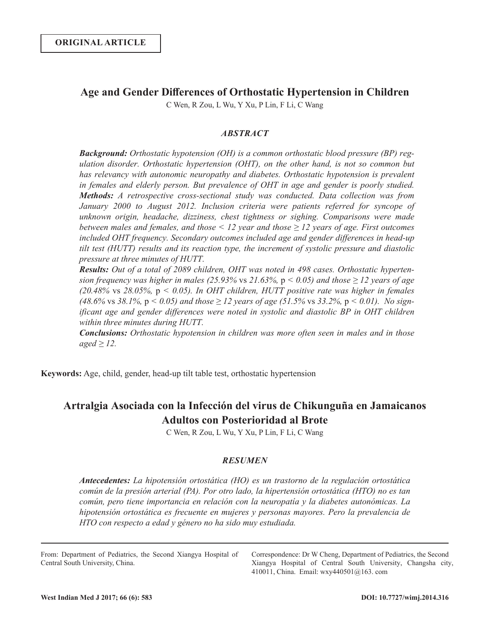## **Age and Gender Differences of Orthostatic Hypertension in Children**

C Wen, R Zou, L Wu, Y Xu, P Lin, F Li, C Wang

## *ABSTRACT*

*Background: Orthostatic hypotension (OH) is a common orthostatic blood pressure (BP) regulation disorder. Orthostatic hypertension (OHT), on the other hand, is not so common but*  has relevancy with autonomic neuropathy and diabetes. Orthostatic hypotension is prevalent *in females and elderly person. But prevalence of OHT in age and gender is poorly studied. Methods: A retrospective cross-sectional study was conducted. Data collection was from January 2000 to August 2012. Inclusion criteria were patients referred for syncope of unknown origin, headache, dizziness, chest tightness or sighing. Comparisons were made between males and females, and those < 12 year and those ≥ 12 years of age. First outcomes included OHT frequency. Secondary outcomes included age and gender differences in head-up tilt test (HUTT) results and its reaction type, the increment of systolic pressure and diastolic pressure at three minutes of HUTT.*

*Results: Out of a total of 2089 children, OHT was noted in 498 cases. Orthostatic hypertension frequency was higher in males (25.93% vs 21.63%, p < 0.05) and those*  $\geq$  *12 years of age (20.48%* vs *28.05%,* p *< 0.05). In OHT children, HUTT positive rate was higher in females (48.6%* vs 38.1%,  $p < 0.05$ ) and those  $\geq 12$  years of age (51.5% vs 33.2%,  $p < 0.01$ ). No sign*ificant age and gender differences were noted in systolic and diastolic BP in OHT children within three minutes during HUTT.*

*Conclusions: Orthostatic hypotension in children was more often seen in males and in those aged ≥ 12.*

**Keywords:** Age, child, gender, head-up tilt table test, orthostatic hypertension

# **Artralgia Asociada con la Infección del virus de Chikunguña en Jamaicanos Adultos con Posterioridad al Brote**

C Wen, R Zou, L Wu, Y Xu, P Lin, F Li, C Wang

## *RESUMEN*

*Antecedentes: La hipotensión ortostática (HO) es un trastorno de la regulación ortostática común de la presión arterial (PA). Por otro lado, la hipertensión ortostática (HTO) no es tan común, pero tiene importancia en relación con la neuropatía y la diabetes autonómicas. La hipotensión ortostática es frecuente en mujeres y personas mayores. Pero la prevalencia de HTO con respecto a edad y género no ha sido muy estudiada.*

From: Department of Pediatrics, the Second Xiangya Hospital of Central South University, China.

Correspondence: Dr W Cheng, Department of Pediatrics, the Second Xiangya Hospital of Central South University, Changsha city, 410011, China. Email: wxy440501@163. com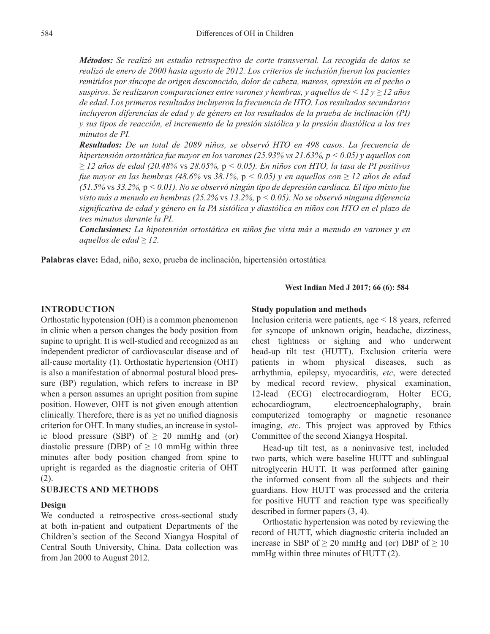*Métodos: Se realizó un estudio retrospectivo de corte transversal. La recogida de datos se realizó de enero de 2000 hasta agosto de 2012. Los criterios de inclusión fueron los pacientes remitidos por síncope de origen desconocido, dolor de cabeza, mareos, opresión en el pecho o suspiros. Se realizaron comparaciones entre varones y hembras, y aquellos de < 12 y ≥ 12 años de edad. Los primeros resultados incluyeron la frecuencia de HTO. Los resultados secundarios incluyeron diferencias de edad y de género en los resultados de la prueba de inclinación (PI) y sus tipos de reacción, el incremento de la presión sistólica y la presión diastólica a los tres minutos de PI.*

*Resultados: De un total de 2089 niños, se observó HTO en 498 casos. La frecuencia de hipertensión ortostática fue mayor en los varones (25.93% vs 21.63%, p < 0.05) y aquellos con ≥ 12 años de edad (20.48%* vs *28.05%,* p *< 0.05). En niños con HTO, la tasa de PI positivos fue mayor en las hembras (48.6%* vs *38.1%,* p *< 0.05) y en aquellos con ≥ 12 años de edad (51.5%* vs *33.2%,* p *< 0.01). No se observó ningún tipo de depresión cardíaca. El tipo mixto fue visto más a menudo en hembras (25.2%* vs *13.2%,* p *< 0.05). No se observó ninguna diferencia significativa de edad y género en la PA sistólica y diastólica en niños con HTO en el plazo de tres minutos durante la PI.*

*Conclusiones: La hipotensión ortostática en niños fue vista más a menudo en varones y en aquellos de edad ≥ 12.*

**Palabras clave:** Edad, niño, sexo, prueba de inclinación, hipertensión ortostática

#### **West Indian Med J 2017; 66 (6): 584**

## **INTRODUCTION**

Orthostatic hypotension (OH) is a common phenomenon in clinic when a person changes the body position from supine to upright. It is well-studied and recognized as an independent predictor of cardiovascular disease and of all-cause mortality  $(1)$ . Orthostatic hypertension  $(OHT)$ is also a manifestation of abnormal postural blood pressure (BP) regulation, which refers to increase in BP when a person assumes an upright position from supine position. However, OHT is not given enough attention clinically. Therefore, there is as yet no unified diagnosis criterion for OHT. In many studies, an increase in systolic blood pressure (SBP) of  $\geq$  20 mmHg and (or) diastolic pressure (DBP) of  $\geq 10$  mmHg within three minutes after body position changed from spine to upright is regarded as the diagnostic criteria of OHT (2).

## **SUBJECTS AND METHODS**

#### **Design**

We conducted a retrospective cross-sectional study at both in-patient and outpatient Departments of the Children's section of the Second Xiangya Hospital of Central South University, China. Data collection was from Jan 2000 to August 2012.

#### **Study population and methods**

Inclusion criteria were patients, age < 18 years, referred for syncope of unknown origin, headache, dizziness, chest tightness or sighing and who underwent head-up tilt test (HUTT). Exclusion criteria were patients in whom physical diseases, such as arrhythmia, epilepsy, myocarditis, *etc*, were detected by medical record review, physical examination, 12-lead (ECG) electrocardiogram, Holter ECG, echocardiogram, electroencephalography, brain computerized tomography or magnetic resonance imaging, *etc*. This project was approved by Ethics Committee of the second Xiangya Hospital.

Head-up tilt test, as a noninvasive test, included two parts, which were baseline HUTT and sublingual nitroglycerin HUTT. It was performed after gaining the informed consent from all the subjects and their guardians. How HUTT was processed and the criteria for positive HUTT and reaction type was specifically described in former papers (3, 4).

Orthostatic hypertension was noted by reviewing the record of HUTT, which diagnostic criteria included an increase in SBP of  $\geq$  20 mmHg and (or) DBP of  $\geq$  10 mmHg within three minutes of HUTT (2).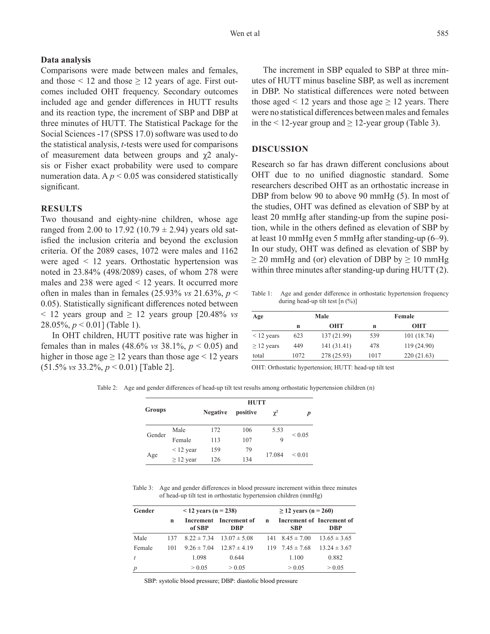## **Data analysis**

Comparisons were made between males and females, and those  $\leq 12$  and those  $\geq 12$  years of age. First outcomes included OHT frequency. Secondary outcomes included age and gender differences in HUTT results and its reaction type, the increment of SBP and DBP at three minutes of HUTT. The Statistical Package for the Social Sciences -17 (SPSS 17.0) software was used to do the statistical analysis, *t*-tests were used for comparisons of measurement data between groups and χ2 analysis or Fisher exact probability were used to compare numeration data.  $A p < 0.05$  was considered statistically significant.

## **RESULTS**

Two thousand and eighty-nine children, whose age ranged from 2.00 to 17.92 (10.79  $\pm$  2.94) years old satisfied the inclusion criteria and beyond the exclusion criteria. Of the 2089 cases, 1072 were males and 1162 were aged < 12 years. Orthostatic hypertension was noted in 23.84% (498/2089) cases, of whom 278 were males and 238 were aged < 12 years. It occurred more often in males than in females (25.93% *vs* 21.63%, *p* < 0.05). Statistically significant differences noted between  $\leq$  12 years group and  $\geq$  12 years group [20.48% *vs*] 28.05%, *p* < 0.01] (Table 1).

In OHT children, HUTT positive rate was higher in females than in males (48.6% vs 38.1%,  $p < 0.05$ ) and higher in those age  $\geq$  12 years than those age  $\leq$  12 years  $(51.5\% \text{ vs } 33.2\%, p < 0.01)$  [Table 2].

The increment in SBP equaled to SBP at three minutes of HUTT minus baseline SBP, as well as increment in DBP. No statistical differences were noted between those aged  $\leq 12$  years and those age  $\geq 12$  years. There were no statistical differences between males and females in the  $\leq 12$ -year group and  $\geq 12$ -year group (Table 3).

## **DISCUSSION**

Research so far has drawn different conclusions about OHT due to no unified diagnostic standard. Some researchers described OHT as an orthostatic increase in DBP from below 90 to above 90 mmHg (5). In most of the studies, OHT was defined as elevation of SBP by at least 20 mmHg after standing-up from the supine position, while in the others defined as elevation of SBP by at least 10 mmHg even 5 mmHg after standing-up (6‒9). In our study, OHT was defined as elevation of SBP by  $\geq$  20 mmHg and (or) elevation of DBP by  $\geq$  10 mmHg within three minutes after standing-up during HUTT (2).

Table 1: Age and gender difference in orthostatic hypertension frequency during head-up tilt test  $[n \ (\%)]$ 

| Age             | Male |             | Female |             |  |
|-----------------|------|-------------|--------|-------------|--|
|                 | n    | <b>OHT</b>  | n      | <b>OHT</b>  |  |
| $\leq$ 12 years | 623  | 137 (21.99) | 539    | 101(18.74)  |  |
| $\geq$ 12 years | 449  | 141 (31.41) | 478    | 119 (24.90) |  |
| total           | 1072 | 278 (25.93) | 1017   | 220 (21.63) |  |

OHT: Orthostatic hypertension; HUTT: head-up tilt test

Table 2: Age and gender differences of head-up tilt test results among orthostatic hypertension children (n)

| <b>Groups</b> |                | <b>HUTT</b>     |          |          |             |  |
|---------------|----------------|-----------------|----------|----------|-------------|--|
|               |                | <b>Negative</b> | positive | $\chi^2$ | D           |  |
| Gender        | Male           | 172             | 106      | 5.53     |             |  |
|               | Female         | 113             | 107      | 9        | ${}< 0.05$  |  |
| Age           | $\leq$ 12 year | 159             | 79       |          | ${}_{0.01}$ |  |
|               | $\geq$ 12 year | 126             | 134      | 17.084   |             |  |

Table 3: Age and gender differences in blood pressure increment within three minutes of head-up tilt test in orthostatic hypertension children (mmHg)

| Gender         | $12$ years (n = 238) |                 |                                  | $\geq$ 12 years (n = 260) |                           |                                         |
|----------------|----------------------|-----------------|----------------------------------|---------------------------|---------------------------|-----------------------------------------|
|                | n                    | of SBP          | Increment Increment of<br>DBP    | $\mathbf n$               | <b>SBP</b>                | Increment of Increment of<br><b>DBP</b> |
| Male           | 137                  |                 | $8.22 \pm 7.34$ $13.07 \pm 5.08$ |                           | $141 \quad 8.45 \pm 7.00$ | $13.65 \pm 3.65$                        |
| Female         | 101                  | $9.26 \pm 7.04$ | $12.87 \pm 4.19$                 |                           | $119$ $7.45 \pm 7.68$     | $13.24 \pm 3.67$                        |
| t              |                      | 1.098           | 0.644                            |                           | 1.100                     | 0.882                                   |
| $\overline{p}$ |                      | > 0.05          | > 0.05                           |                           | > 0.05                    | > 0.05                                  |

SBP: systolic blood pressure; DBP: diastolic blood pressure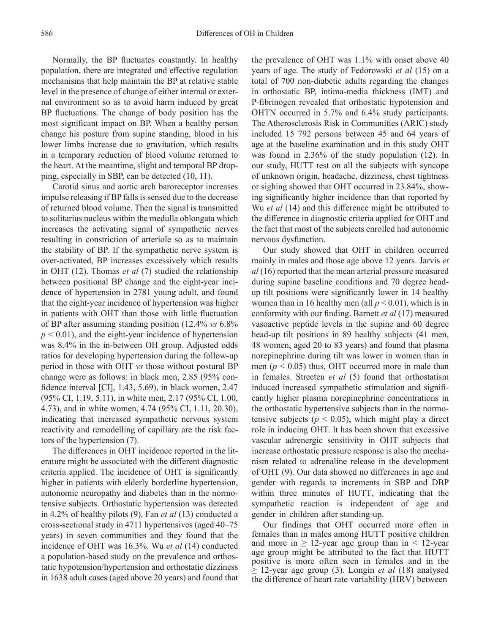Normally, the BP fluctuates constantly. In healthy population, there are integrated and effective regulation mechanisms that help maintain the BP at relative stable level in the presence of change of either internal or external environment so as to avoid harm induced by great BP fluctuations. The change of body position has the most significant impact on BP. When a healthy person change his posture from supine standing, blood in his lower limbs increase due to gravitation, which results in a temporary reduction of blood volume returned to the heart. At the meantime, slight and temporal BP dropping, especially in SBP, can be detected (10, 11).

Carotid sinus and aortic arch baroreceptor increases impulse releasing if BP falls is sensed due to the decrease of returned blood volume. Then the signal is transmitted to solitarius nucleus within the medulla oblongata which increases the activating signal of sympathetic nerves resulting in constriction of arteriole so as to maintain the stability of BP. If the sympathetic nerve system is over-activated, BP increases excessively which results in OHT (12). Thomas *et al* (7) studied the relationship between positional BP change and the eight-year incidence of hypertension in 2781 young adult, and found that the eight-year incidence of hypertension was higher in patients with OHT than those with little fluctuation of BP after assuming standing position (12.4% *vs* 6.8%  $p < 0.01$ ), and the eight-year incidence of hypertension was 8.4% in the in-between OH group. Adjusted odds ratios for developing hypertension during the follow-up period in those with OHT *vs* those without postural BP change were as follows: in black men, 2.85 (95% confidence interval [CI], 1.43, 5.69), in black women, 2.47 (95% CI, 1.19, 5.11), in white men, 2.17 (95% CI, 1.00, 4.73), and in white women, 4.74 (95% CI, 1.11, 20.30), indicating that increased sympathetic nervous system reactivity and remodelling of capillary are the risk factors of the hypertension (7).

The differences in OHT incidence reported in the literature might be associated with the different diagnostic criteria applied. The incidence of OHT is significantly higher in patients with elderly borderline hypertension, autonomic neuropathy and diabetes than in the normotensive subjects. Orthostatic hypertension was detected in 4.2% of healthy pilots (9). Fan *et al* (13) conducted a cross-sectional study in 4711 hypertensives (aged 40–75 years) in seven communities and they found that the incidence of OHT was 16.3%. Wu *et al* (14) conducted a population-based study on the prevalence and orthostatic hypotension/hypertension and orthostatic dizziness in 1638 adult cases (aged above 20 years) and found that

the prevalence of OHT was 1.1% with onset above 40 years of age. The study of Fedorowski *et al* (15) on a total of 700 non-diabetic adults regarding the changes in orthostatic BP, intima-media thickness (IMT) and P-fibrinogen revealed that orthostatic hypotension and OHTN occurred in 5.7% and 6.4% study participants. The Atherosclerosis Risk in Communities (ARIC) study included 15 792 persons between 45 and 64 years of age at the baseline examination and in this study OHT was found in 2.36% of the study population (12). In our study, HUTT test on all the subjects with syncope of unknown origin, headache, dizziness, chest tightness or sighing showed that OHT occurred in 23.84%, showing significantly higher incidence than that reported by Wu *et al* (14) and this difference might be attributed to the difference in diagnostic criteria applied for OHT and the fact that most of the subjects enrolled had autonomic nervous dysfunction.

Our study showed that OHT in children occurred mainly in males and those age above 12 years. Jarvis *et al* (16) reported that the mean arterial pressure measured during supine baseline conditions and 70 degree headup tilt positions were significantly lower in 14 healthy women than in 16 healthy men (all  $p < 0.01$ ), which is in conformity with our finding. Barnett *et al* (17) measured vasoactive peptide levels in the supine and 60 degree head-up tilt positions in 89 healthy subjects (41 men, 48 women, aged 20 to 83 years) and found that plasma norepinephrine during tilt was lower in women than in men ( $p \leq 0.05$ ) thus, OHT occurred more in male than in females. Streeten *et al* (5) found that orthostatism induced increased sympathetic stimulation and significantly higher plasma norepinephrine concentrations in the orthostatic hypertensive subjects than in the normotensive subjects ( $p \leq 0.05$ ), which might play a direct role in inducing OHT. It has been shown that excessive vascular adrenergic sensitivity in OHT subjects that increase orthostatic pressure response is also the mechanism related to adrenaline release in the development of OHT (9). Our data showed no differences in age and gender with regards to increments in SBP and DBP within three minutes of HUTT, indicating that the sympathetic reaction is independent of age and gender in children after standing-up.

Our findings that OHT occurred more often in females than in males among HUTT positive children and more in  $\geq$  12-year age group than in < 12-year age group might be attributed to the fact that HUTT positive is more often seen in females and in the  $\geq$  12-year age group (3). Longin *et al* (18) analysed the difference of heart rate variability (HRV) between